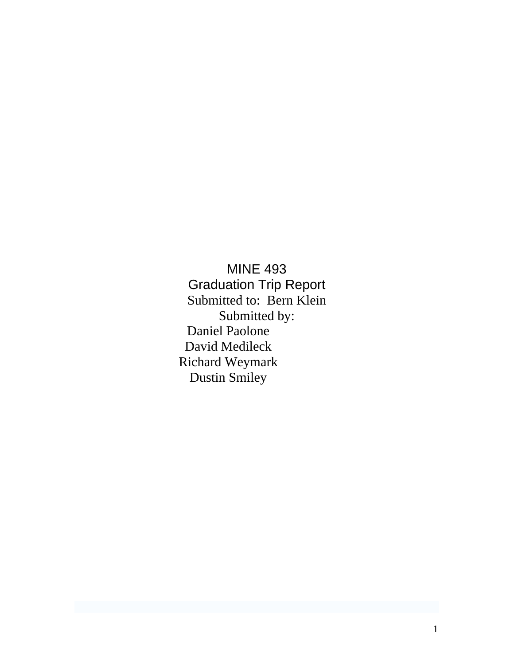MINE 493 Graduation Trip Report Submitted to: Bern Klein Submitted by: Daniel Paolone David Medileck Richard Weymark Dustin Smiley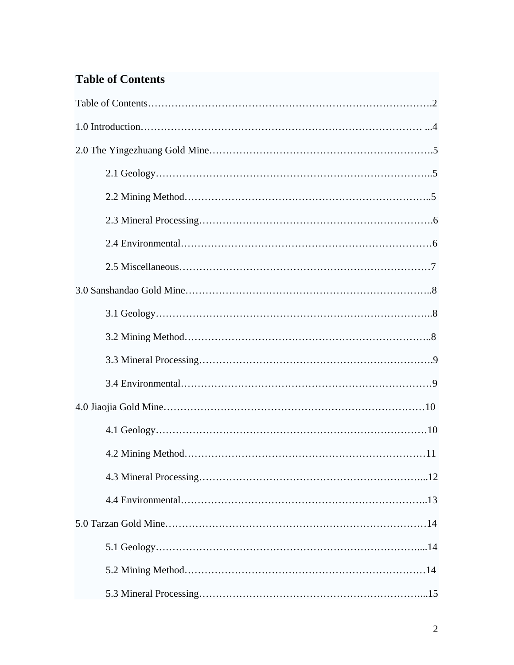# **Table of Contents**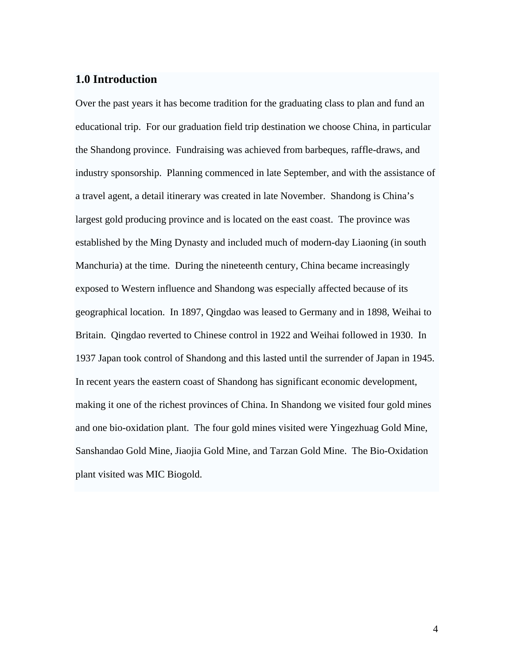## **1.0 Introduction**

Over the past years it has become tradition for the graduating class to plan and fund an educational trip. For our graduation field trip destination we choose China, in particular the Shandong province. Fundraising was achieved from barbeques, raffle-draws, and industry sponsorship. Planning commenced in late September, and with the assistance of a travel agent, a detail itinerary was created in late November. Shandong is China's largest gold producing province and is located on the east coast. The province was established by the [Ming Dynasty](http://en.wikipedia.org/wiki/Ming_Dynasty) and included much of modern-day [Liaoning](http://en.wikipedia.org/wiki/Liaoning) (in south [Manchuria\)](http://en.wikipedia.org/wiki/Manchuria) at the time. During the nineteenth century, China became increasingly exposed to Western influence and Shandong was especially affected because of its geographical location. In 1897, [Qingdao](http://en.wikipedia.org/wiki/Qingdao) was leased to [Germany](http://en.wikipedia.org/wiki/Germany) and in 1898, [Weihai](http://en.wikipedia.org/wiki/Weihai) to [Britain](http://en.wikipedia.org/wiki/United_Kingdom). [Qingdao](http://en.wikipedia.org/wiki/Qingdao) reverted to Chinese control in [1922](http://en.wikipedia.org/wiki/1922) and [Weihai](http://en.wikipedia.org/wiki/Weihai) followed in [1930](http://en.wikipedia.org/wiki/1930). In [1937](http://en.wikipedia.org/wiki/1937) [Japan](http://en.wikipedia.org/wiki/Japan) took control of Shandong and this lasted until the surrender of Japan in [1945.](http://en.wikipedia.org/wiki/1945) In recent years the eastern coast of Shandong has significant economic development, making it one of the richest provinces of China. In Shandong we visited four gold mines and one bio-oxidation plant. The four gold mines visited were Yingezhuag Gold Mine, Sanshandao Gold Mine, Jiaojia Gold Mine, and Tarzan Gold Mine. The Bio-Oxidation plant visited was MIC Biogold.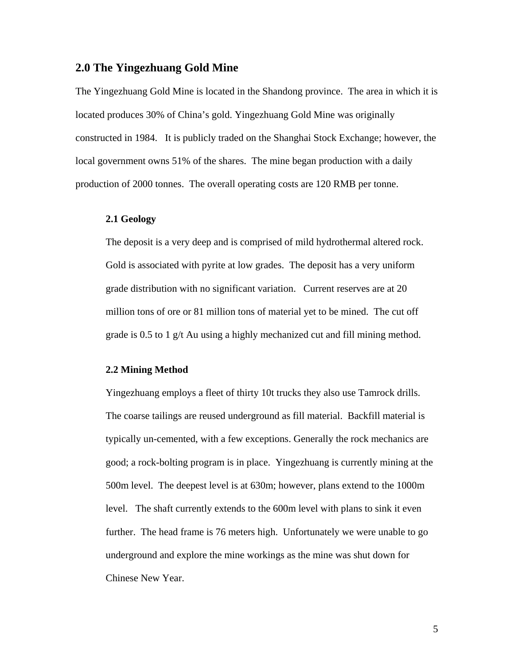### **2.0 The Yingezhuang Gold Mine**

The Yingezhuang Gold Mine is located in the Shandong province. The area in which it is located produces 30% of China's gold. Yingezhuang Gold Mine was originally constructed in 1984. It is publicly traded on the Shanghai Stock Exchange; however, the local government owns 51% of the shares. The mine began production with a daily production of 2000 tonnes. The overall operating costs are 120 RMB per tonne.

### **2.1 Geology**

The deposit is a very deep and is comprised of mild hydrothermal altered rock. Gold is associated with pyrite at low grades. The deposit has a very uniform grade distribution with no significant variation. Current reserves are at 20 million tons of ore or 81 million tons of material yet to be mined. The cut off grade is 0.5 to 1 g/t Au using a highly mechanized cut and fill mining method.

#### **2.2 Mining Method**

Yingezhuang employs a fleet of thirty 10t trucks they also use Tamrock drills. The coarse tailings are reused underground as fill material. Backfill material is typically un-cemented, with a few exceptions. Generally the rock mechanics are good; a rock-bolting program is in place. Yingezhuang is currently mining at the 500m level. The deepest level is at 630m; however, plans extend to the 1000m level. The shaft currently extends to the 600m level with plans to sink it even further. The head frame is 76 meters high. Unfortunately we were unable to go underground and explore the mine workings as the mine was shut down for Chinese New Year.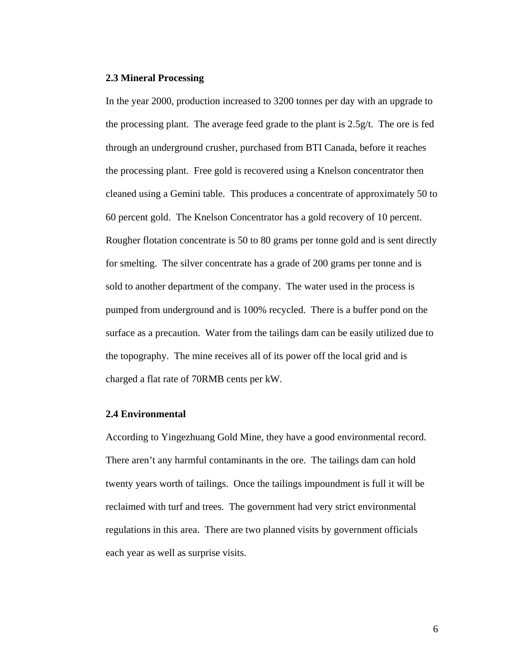#### **2.3 Mineral Processing**

In the year 2000, production increased to 3200 tonnes per day with an upgrade to the processing plant. The average feed grade to the plant is 2.5g/t. The ore is fed through an underground crusher, purchased from BTI Canada, before it reaches the processing plant. Free gold is recovered using a Knelson concentrator then cleaned using a Gemini table. This produces a concentrate of approximately 50 to 60 percent gold. The Knelson Concentrator has a gold recovery of 10 percent. Rougher flotation concentrate is 50 to 80 grams per tonne gold and is sent directly for smelting. The silver concentrate has a grade of 200 grams per tonne and is sold to another department of the company. The water used in the process is pumped from underground and is 100% recycled. There is a buffer pond on the surface as a precaution. Water from the tailings dam can be easily utilized due to the topography. The mine receives all of its power off the local grid and is charged a flat rate of 70RMB cents per kW.

#### **2.4 Environmental**

According to Yingezhuang Gold Mine, they have a good environmental record. There aren't any harmful contaminants in the ore. The tailings dam can hold twenty years worth of tailings. Once the tailings impoundment is full it will be reclaimed with turf and trees. The government had very strict environmental regulations in this area. There are two planned visits by government officials each year as well as surprise visits.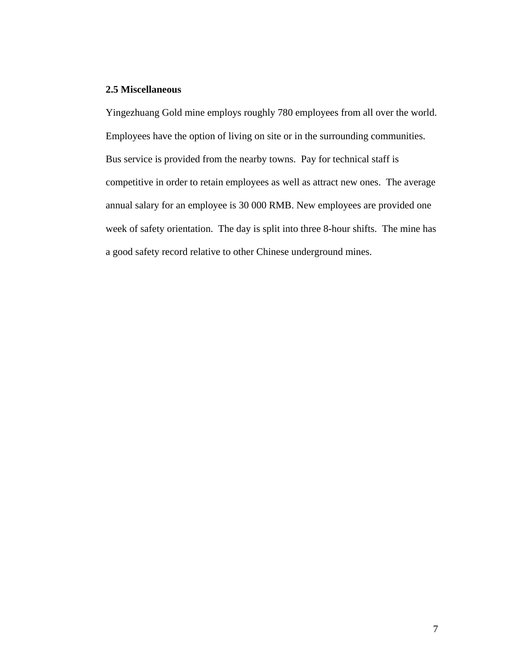### **2.5 Miscellaneous**

Yingezhuang Gold mine employs roughly 780 employees from all over the world. Employees have the option of living on site or in the surrounding communities. Bus service is provided from the nearby towns. Pay for technical staff is competitive in order to retain employees as well as attract new ones. The average annual salary for an employee is 30 000 RMB. New employees are provided one week of safety orientation. The day is split into three 8-hour shifts. The mine has a good safety record relative to other Chinese underground mines.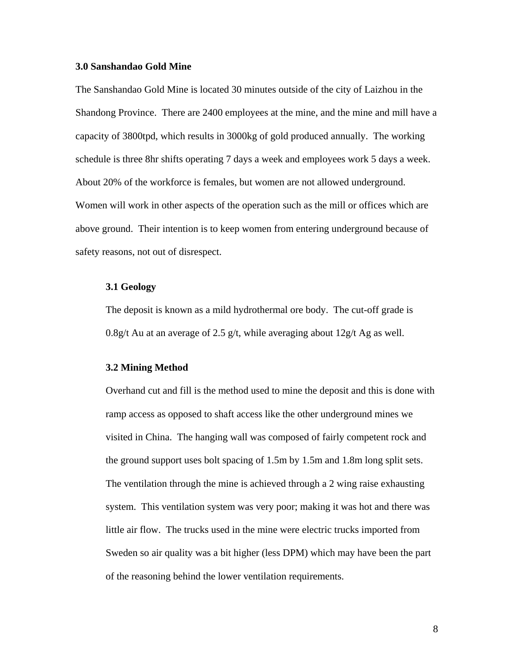#### **3.0 Sanshandao Gold Mine**

The Sanshandao Gold Mine is located 30 minutes outside of the city of Laizhou in the Shandong Province. There are 2400 employees at the mine, and the mine and mill have a capacity of 3800tpd, which results in 3000kg of gold produced annually. The working schedule is three 8hr shifts operating 7 days a week and employees work 5 days a week. About 20% of the workforce is females, but women are not allowed underground. Women will work in other aspects of the operation such as the mill or offices which are above ground. Their intention is to keep women from entering underground because of safety reasons, not out of disrespect.

#### **3.1 Geology**

The deposit is known as a mild hydrothermal ore body. The cut-off grade is 0.8g/t Au at an average of 2.5 g/t, while averaging about  $12g/t$  Ag as well.

#### **3.2 Mining Method**

Overhand cut and fill is the method used to mine the deposit and this is done with ramp access as opposed to shaft access like the other underground mines we visited in China. The hanging wall was composed of fairly competent rock and the ground support uses bolt spacing of 1.5m by 1.5m and 1.8m long split sets. The ventilation through the mine is achieved through a 2 wing raise exhausting system. This ventilation system was very poor; making it was hot and there was little air flow. The trucks used in the mine were electric trucks imported from Sweden so air quality was a bit higher (less DPM) which may have been the part of the reasoning behind the lower ventilation requirements.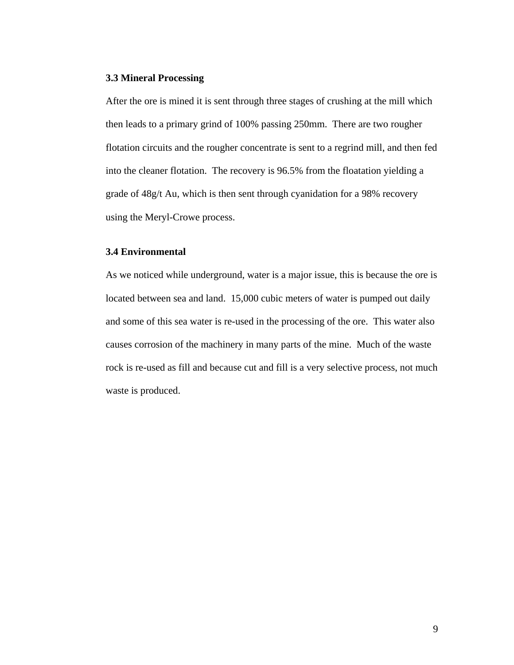#### **3.3 Mineral Processing**

After the ore is mined it is sent through three stages of crushing at the mill which then leads to a primary grind of 100% passing 250mm. There are two rougher flotation circuits and the rougher concentrate is sent to a regrind mill, and then fed into the cleaner flotation. The recovery is 96.5% from the floatation yielding a grade of 48g/t Au, which is then sent through cyanidation for a 98% recovery using the Meryl-Crowe process.

### **3.4 Environmental**

As we noticed while underground, water is a major issue, this is because the ore is located between sea and land. 15,000 cubic meters of water is pumped out daily and some of this sea water is re-used in the processing of the ore. This water also causes corrosion of the machinery in many parts of the mine. Much of the waste rock is re-used as fill and because cut and fill is a very selective process, not much waste is produced.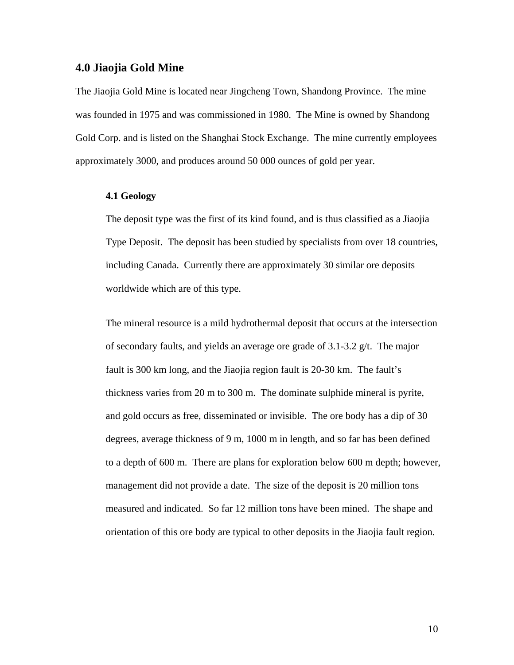### **4.0 Jiaojia Gold Mine**

The Jiaojia Gold Mine is located near Jingcheng Town, Shandong Province. The mine was founded in 1975 and was commissioned in 1980. The Mine is owned by Shandong Gold Corp. and is listed on the Shanghai Stock Exchange. The mine currently employees approximately 3000, and produces around 50 000 ounces of gold per year.

### **4.1 Geology**

The deposit type was the first of its kind found, and is thus classified as a Jiaojia Type Deposit. The deposit has been studied by specialists from over 18 countries, including Canada. Currently there are approximately 30 similar ore deposits worldwide which are of this type.

The mineral resource is a mild hydrothermal deposit that occurs at the intersection of secondary faults, and yields an average ore grade of 3.1-3.2 g/t. The major fault is 300 km long, and the Jiaojia region fault is 20-30 km. The fault's thickness varies from 20 m to 300 m. The dominate sulphide mineral is pyrite, and gold occurs as free, disseminated or invisible. The ore body has a dip of 30 degrees, average thickness of 9 m, 1000 m in length, and so far has been defined to a depth of 600 m. There are plans for exploration below 600 m depth; however, management did not provide a date. The size of the deposit is 20 million tons measured and indicated. So far 12 million tons have been mined. The shape and orientation of this ore body are typical to other deposits in the Jiaojia fault region.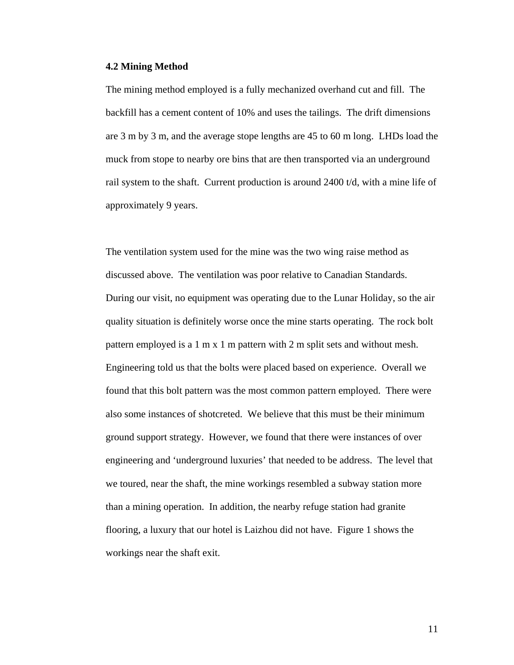#### **4.2 Mining Method**

The mining method employed is a fully mechanized overhand cut and fill. The backfill has a cement content of 10% and uses the tailings. The drift dimensions are 3 m by 3 m, and the average stope lengths are 45 to 60 m long. LHDs load the muck from stope to nearby ore bins that are then transported via an underground rail system to the shaft. Current production is around 2400 t/d, with a mine life of approximately 9 years.

The ventilation system used for the mine was the two wing raise method as discussed above. The ventilation was poor relative to Canadian Standards. During our visit, no equipment was operating due to the Lunar Holiday, so the air quality situation is definitely worse once the mine starts operating. The rock bolt pattern employed is a 1 m x 1 m pattern with 2 m split sets and without mesh. Engineering told us that the bolts were placed based on experience. Overall we found that this bolt pattern was the most common pattern employed. There were also some instances of shotcreted. We believe that this must be their minimum ground support strategy. However, we found that there were instances of over engineering and 'underground luxuries' that needed to be address. The level that we toured, near the shaft, the mine workings resembled a subway station more than a mining operation. In addition, the nearby refuge station had granite flooring, a luxury that our hotel is Laizhou did not have. Figure 1 shows the workings near the shaft exit.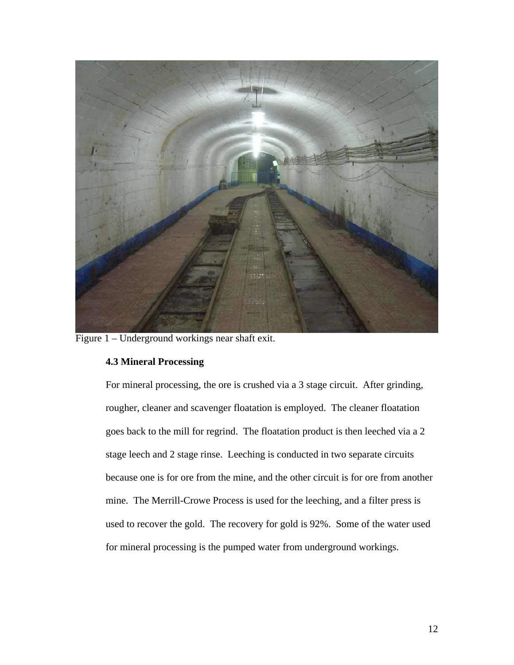

Figure 1 – Underground workings near shaft exit.

# **4.3 Mineral Processing**

For mineral processing, the ore is crushed via a 3 stage circuit. After grinding, rougher, cleaner and scavenger floatation is employed. The cleaner floatation goes back to the mill for regrind. The floatation product is then leeched via a 2 stage leech and 2 stage rinse. Leeching is conducted in two separate circuits because one is for ore from the mine, and the other circuit is for ore from another mine. The Merrill-Crowe Process is used for the leeching, and a filter press is used to recover the gold. The recovery for gold is 92%. Some of the water used for mineral processing is the pumped water from underground workings.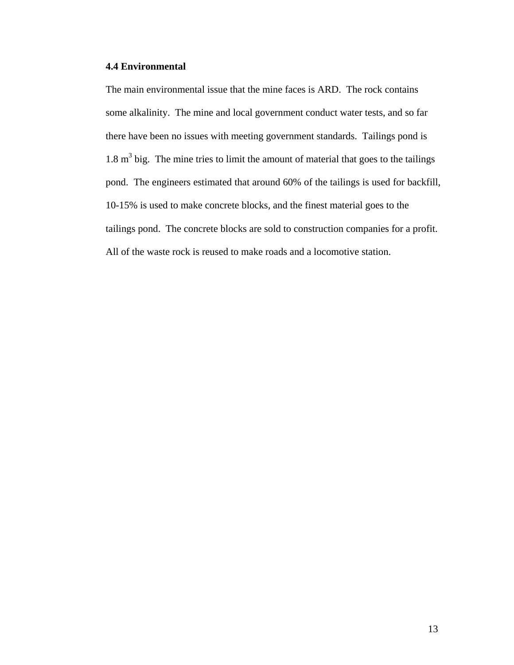### **4.4 Environmental**

The main environmental issue that the mine faces is ARD. The rock contains some alkalinity. The mine and local government conduct water tests, and so far there have been no issues with meeting government standards. Tailings pond is  $1.8 \text{ m}^3$  big. The mine tries to limit the amount of material that goes to the tailings pond. The engineers estimated that around 60% of the tailings is used for backfill, 10-15% is used to make concrete blocks, and the finest material goes to the tailings pond. The concrete blocks are sold to construction companies for a profit. All of the waste rock is reused to make roads and a locomotive station.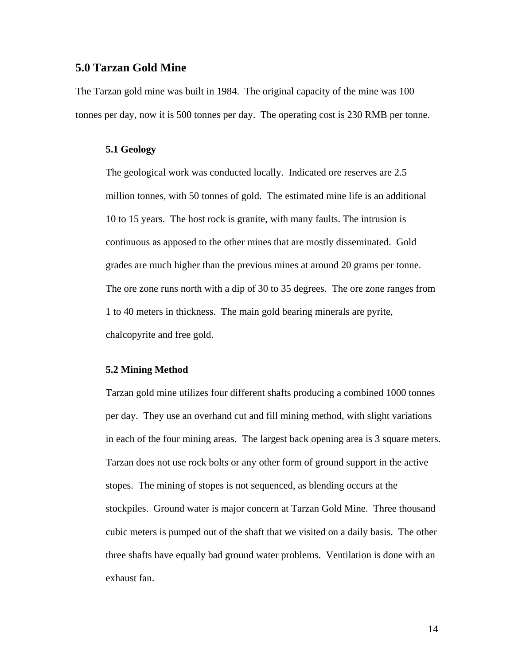### **5.0 Tarzan Gold Mine**

The Tarzan gold mine was built in 1984. The original capacity of the mine was 100 tonnes per day, now it is 500 tonnes per day. The operating cost is 230 RMB per tonne.

### **5.1 Geology**

The geological work was conducted locally. Indicated ore reserves are 2.5 million tonnes, with 50 tonnes of gold. The estimated mine life is an additional 10 to 15 years. The host rock is granite, with many faults. The intrusion is continuous as apposed to the other mines that are mostly disseminated. Gold grades are much higher than the previous mines at around 20 grams per tonne. The ore zone runs north with a dip of 30 to 35 degrees. The ore zone ranges from 1 to 40 meters in thickness. The main gold bearing minerals are pyrite, chalcopyrite and free gold.

#### **5.2 Mining Method**

Tarzan gold mine utilizes four different shafts producing a combined 1000 tonnes per day. They use an overhand cut and fill mining method, with slight variations in each of the four mining areas. The largest back opening area is 3 square meters. Tarzan does not use rock bolts or any other form of ground support in the active stopes. The mining of stopes is not sequenced, as blending occurs at the stockpiles. Ground water is major concern at Tarzan Gold Mine. Three thousand cubic meters is pumped out of the shaft that we visited on a daily basis. The other three shafts have equally bad ground water problems. Ventilation is done with an exhaust fan.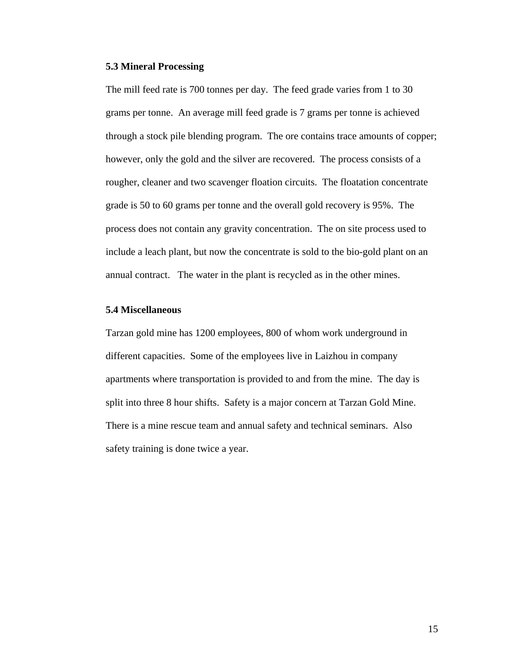### **5.3 Mineral Processing**

The mill feed rate is 700 tonnes per day. The feed grade varies from 1 to 30 grams per tonne. An average mill feed grade is 7 grams per tonne is achieved through a stock pile blending program. The ore contains trace amounts of copper; however, only the gold and the silver are recovered. The process consists of a rougher, cleaner and two scavenger floation circuits. The floatation concentrate grade is 50 to 60 grams per tonne and the overall gold recovery is 95%. The process does not contain any gravity concentration. The on site process used to include a leach plant, but now the concentrate is sold to the bio-gold plant on an annual contract. The water in the plant is recycled as in the other mines.

### **5.4 Miscellaneous**

Tarzan gold mine has 1200 employees, 800 of whom work underground in different capacities. Some of the employees live in Laizhou in company apartments where transportation is provided to and from the mine. The day is split into three 8 hour shifts. Safety is a major concern at Tarzan Gold Mine. There is a mine rescue team and annual safety and technical seminars. Also safety training is done twice a year.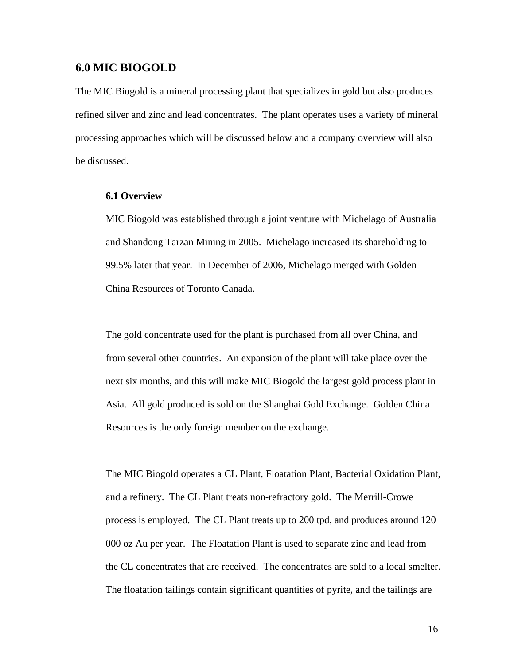### **6.0 MIC BIOGOLD**

The MIC Biogold is a mineral processing plant that specializes in gold but also produces refined silver and zinc and lead concentrates. The plant operates uses a variety of mineral processing approaches which will be discussed below and a company overview will also be discussed.

#### **6.1 Overview**

MIC Biogold was established through a joint venture with Michelago of Australia and Shandong Tarzan Mining in 2005. Michelago increased its shareholding to 99.5% later that year. In December of 2006, Michelago merged with Golden China Resources of Toronto Canada.

The gold concentrate used for the plant is purchased from all over China, and from several other countries. An expansion of the plant will take place over the next six months, and this will make MIC Biogold the largest gold process plant in Asia. All gold produced is sold on the Shanghai Gold Exchange. Golden China Resources is the only foreign member on the exchange.

The MIC Biogold operates a CL Plant, Floatation Plant, Bacterial Oxidation Plant, and a refinery. The CL Plant treats non-refractory gold. The Merrill-Crowe process is employed. The CL Plant treats up to 200 tpd, and produces around 120 000 oz Au per year. The Floatation Plant is used to separate zinc and lead from the CL concentrates that are received. The concentrates are sold to a local smelter. The floatation tailings contain significant quantities of pyrite, and the tailings are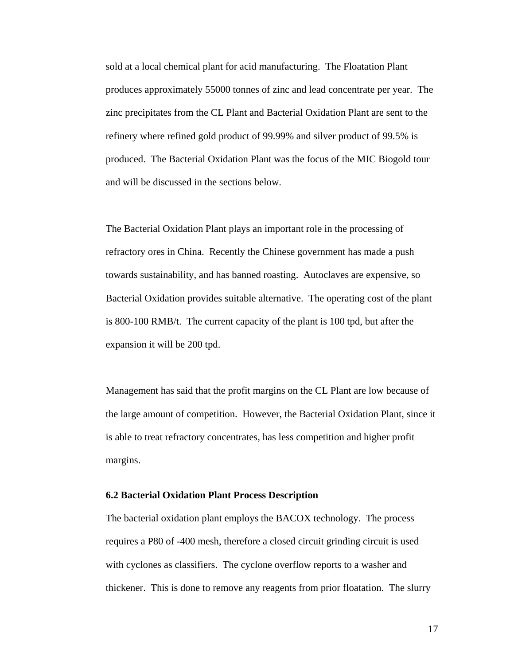sold at a local chemical plant for acid manufacturing. The Floatation Plant produces approximately 55000 tonnes of zinc and lead concentrate per year. The zinc precipitates from the CL Plant and Bacterial Oxidation Plant are sent to the refinery where refined gold product of 99.99% and silver product of 99.5% is produced. The Bacterial Oxidation Plant was the focus of the MIC Biogold tour and will be discussed in the sections below.

The Bacterial Oxidation Plant plays an important role in the processing of refractory ores in China. Recently the Chinese government has made a push towards sustainability, and has banned roasting. Autoclaves are expensive, so Bacterial Oxidation provides suitable alternative. The operating cost of the plant is 800-100 RMB/t. The current capacity of the plant is 100 tpd, but after the expansion it will be 200 tpd.

Management has said that the profit margins on the CL Plant are low because of the large amount of competition. However, the Bacterial Oxidation Plant, since it is able to treat refractory concentrates, has less competition and higher profit margins.

### **6.2 Bacterial Oxidation Plant Process Description**

The bacterial oxidation plant employs the BACOX technology. The process requires a P80 of -400 mesh, therefore a closed circuit grinding circuit is used with cyclones as classifiers. The cyclone overflow reports to a washer and thickener. This is done to remove any reagents from prior floatation. The slurry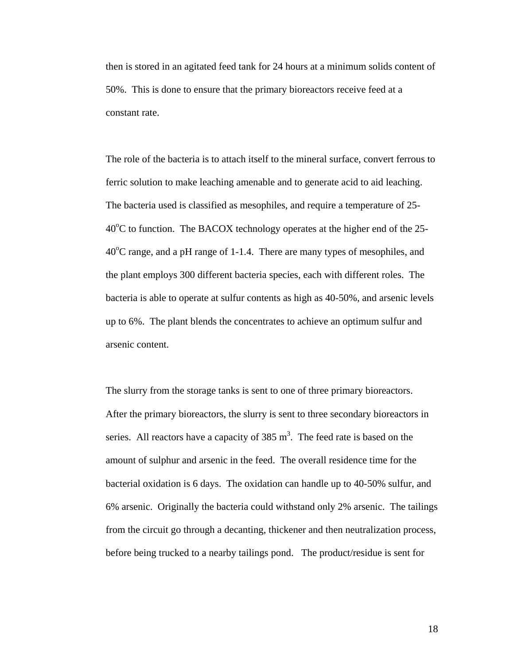then is stored in an agitated feed tank for 24 hours at a minimum solids content of 50%. This is done to ensure that the primary bioreactors receive feed at a constant rate.

The role of the bacteria is to attach itself to the mineral surface, convert ferrous to ferric solution to make leaching amenable and to generate acid to aid leaching. The bacteria used is classified as mesophiles, and require a temperature of 25-  $40^{\circ}$ C to function. The BACOX technology operates at the higher end of the 25-40<sup>o</sup>C range, and a pH range of 1-1.4. There are many types of mesophiles, and the plant employs 300 different bacteria species, each with different roles. The bacteria is able to operate at sulfur contents as high as 40-50%, and arsenic levels up to 6%. The plant blends the concentrates to achieve an optimum sulfur and arsenic content.

The slurry from the storage tanks is sent to one of three primary bioreactors. After the primary bioreactors, the slurry is sent to three secondary bioreactors in series. All reactors have a capacity of  $385 \text{ m}^3$ . The feed rate is based on the amount of sulphur and arsenic in the feed. The overall residence time for the bacterial oxidation is 6 days. The oxidation can handle up to 40-50% sulfur, and 6% arsenic. Originally the bacteria could withstand only 2% arsenic. The tailings from the circuit go through a decanting, thickener and then neutralization process, before being trucked to a nearby tailings pond. The product/residue is sent for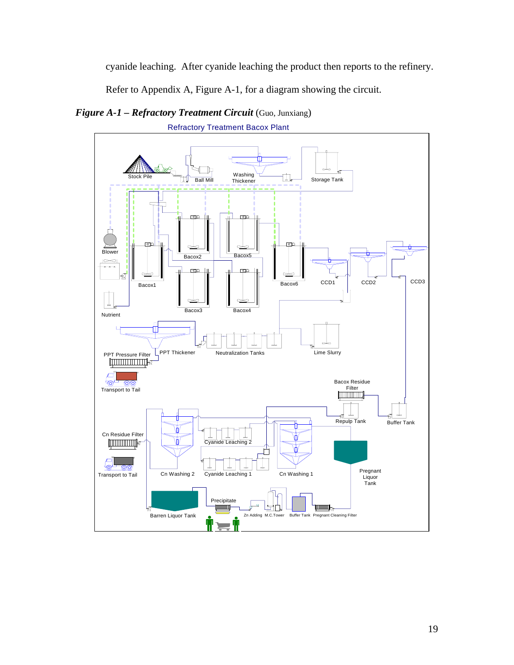cyanide leaching. After cyanide leaching the product then reports to the refinery.

Refer to Appendix A, Figure A-1, for a diagram showing the circuit.

*Figure A-1 – Refractory Treatment Circuit* (Guo, Junxiang)



Refractory Treatment Bacox Plant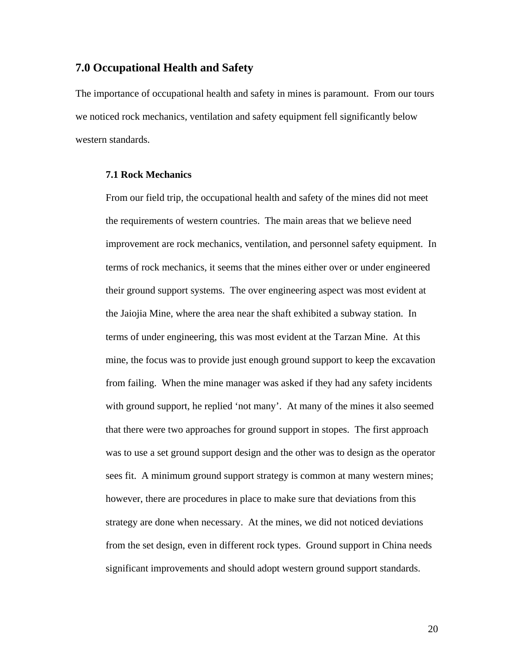### **7.0 Occupational Health and Safety**

The importance of occupational health and safety in mines is paramount. From our tours we noticed rock mechanics, ventilation and safety equipment fell significantly below western standards.

### **7.1 Rock Mechanics**

From our field trip, the occupational health and safety of the mines did not meet the requirements of western countries. The main areas that we believe need improvement are rock mechanics, ventilation, and personnel safety equipment. In terms of rock mechanics, it seems that the mines either over or under engineered their ground support systems. The over engineering aspect was most evident at the Jaiojia Mine, where the area near the shaft exhibited a subway station. In terms of under engineering, this was most evident at the Tarzan Mine. At this mine, the focus was to provide just enough ground support to keep the excavation from failing. When the mine manager was asked if they had any safety incidents with ground support, he replied 'not many'. At many of the mines it also seemed that there were two approaches for ground support in stopes. The first approach was to use a set ground support design and the other was to design as the operator sees fit. A minimum ground support strategy is common at many western mines; however, there are procedures in place to make sure that deviations from this strategy are done when necessary. At the mines, we did not noticed deviations from the set design, even in different rock types. Ground support in China needs significant improvements and should adopt western ground support standards.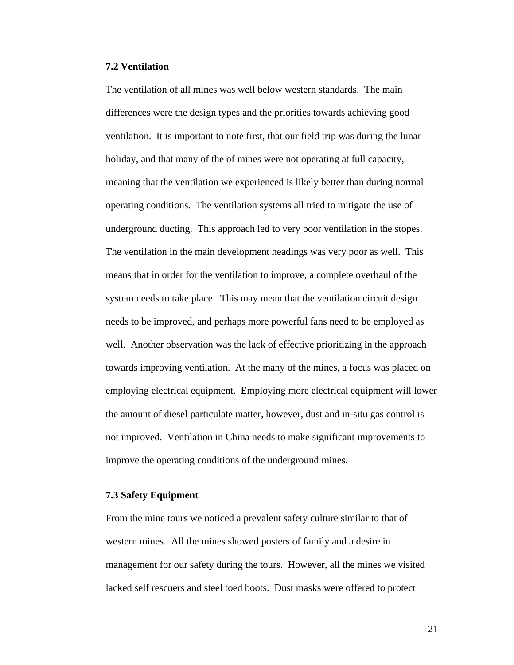#### **7.2 Ventilation**

The ventilation of all mines was well below western standards. The main differences were the design types and the priorities towards achieving good ventilation. It is important to note first, that our field trip was during the lunar holiday, and that many of the of mines were not operating at full capacity, meaning that the ventilation we experienced is likely better than during normal operating conditions. The ventilation systems all tried to mitigate the use of underground ducting. This approach led to very poor ventilation in the stopes. The ventilation in the main development headings was very poor as well. This means that in order for the ventilation to improve, a complete overhaul of the system needs to take place. This may mean that the ventilation circuit design needs to be improved, and perhaps more powerful fans need to be employed as well. Another observation was the lack of effective prioritizing in the approach towards improving ventilation. At the many of the mines, a focus was placed on employing electrical equipment. Employing more electrical equipment will lower the amount of diesel particulate matter, however, dust and in-situ gas control is not improved. Ventilation in China needs to make significant improvements to improve the operating conditions of the underground mines.

### **7.3 Safety Equipment**

From the mine tours we noticed a prevalent safety culture similar to that of western mines. All the mines showed posters of family and a desire in management for our safety during the tours. However, all the mines we visited lacked self rescuers and steel toed boots. Dust masks were offered to protect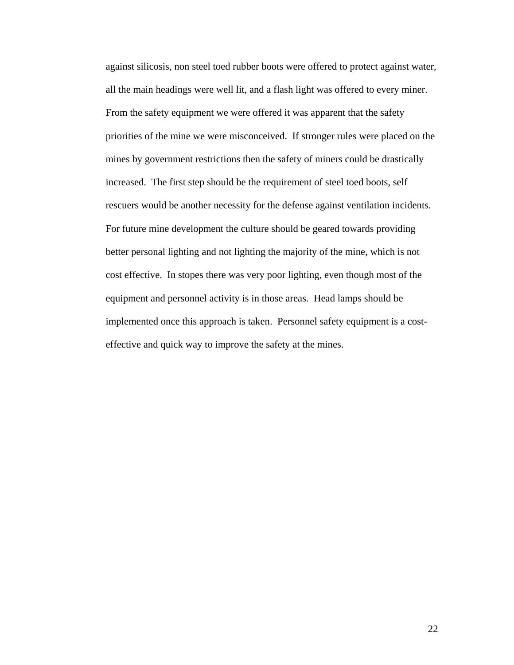against silicosis, non steel toed rubber boots were offered to protect against water, all the main headings were well lit, and a flash light was offered to every miner. From the safety equipment we were offered it was apparent that the safety priorities of the mine we were misconceived. If stronger rules were placed on the mines by government restrictions then the safety of miners could be drastically increased. The first step should be the requirement of steel toed boots, self rescuers would be another necessity for the defense against ventilation incidents. For future mine development the culture should be geared towards providing better personal lighting and not lighting the majority of the mine, which is not cost effective. In stopes there was very poor lighting, even though most of the equipment and personnel activity is in those areas. Head lamps should be implemented once this approach is taken. Personnel safety equipment is a costeffective and quick way to improve the safety at the mines.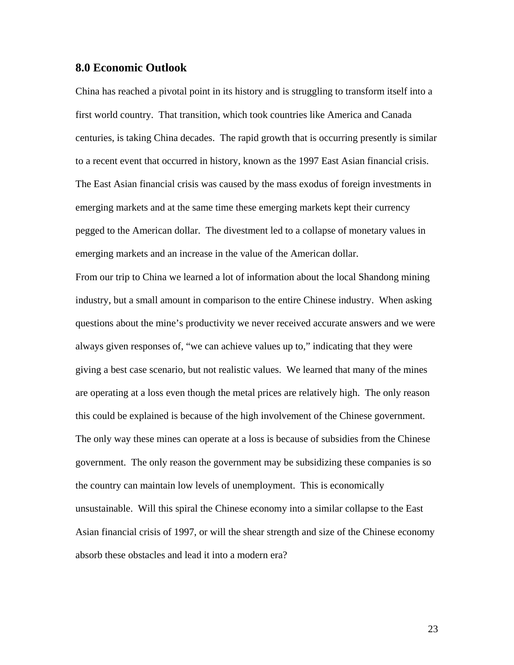### **8.0 Economic Outlook**

China has reached a pivotal point in its history and is struggling to transform itself into a first world country. That transition, which took countries like America and Canada centuries, is taking China decades. The rapid growth that is occurring presently is similar to a recent event that occurred in history, known as the 1997 East Asian financial crisis. The East Asian financial crisis was caused by the mass exodus of foreign investments in emerging markets and at the same time these emerging markets kept their currency pegged to the American dollar. The divestment led to a collapse of monetary values in emerging markets and an increase in the value of the American dollar.

From our trip to China we learned a lot of information about the local Shandong mining industry, but a small amount in comparison to the entire Chinese industry. When asking questions about the mine's productivity we never received accurate answers and we were always given responses of, "we can achieve values up to," indicating that they were giving a best case scenario, but not realistic values. We learned that many of the mines are operating at a loss even though the metal prices are relatively high. The only reason this could be explained is because of the high involvement of the Chinese government. The only way these mines can operate at a loss is because of subsidies from the Chinese government. The only reason the government may be subsidizing these companies is so the country can maintain low levels of unemployment. This is economically unsustainable. Will this spiral the Chinese economy into a similar collapse to the East Asian financial crisis of 1997, or will the shear strength and size of the Chinese economy absorb these obstacles and lead it into a modern era?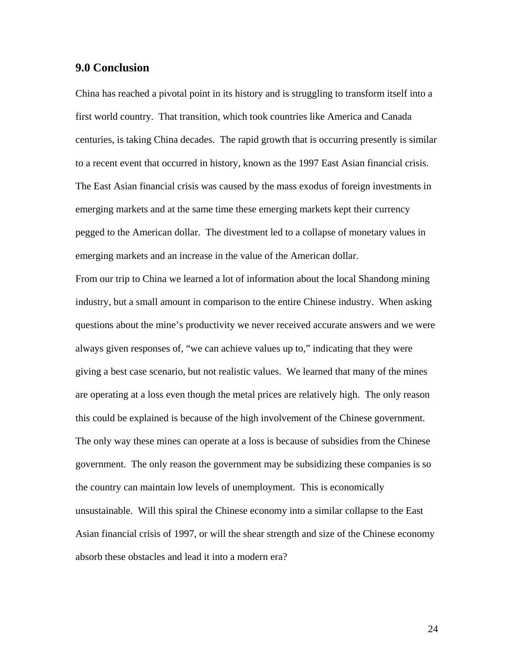### **9.0 Conclusion**

China has reached a pivotal point in its history and is struggling to transform itself into a first world country. That transition, which took countries like America and Canada centuries, is taking China decades. The rapid growth that is occurring presently is similar to a recent event that occurred in history, known as the 1997 East Asian financial crisis. The East Asian financial crisis was caused by the mass exodus of foreign investments in emerging markets and at the same time these emerging markets kept their currency pegged to the American dollar. The divestment led to a collapse of monetary values in emerging markets and an increase in the value of the American dollar.

From our trip to China we learned a lot of information about the local Shandong mining industry, but a small amount in comparison to the entire Chinese industry. When asking questions about the mine's productivity we never received accurate answers and we were always given responses of, "we can achieve values up to," indicating that they were giving a best case scenario, but not realistic values. We learned that many of the mines are operating at a loss even though the metal prices are relatively high. The only reason this could be explained is because of the high involvement of the Chinese government. The only way these mines can operate at a loss is because of subsidies from the Chinese government. The only reason the government may be subsidizing these companies is so the country can maintain low levels of unemployment. This is economically unsustainable. Will this spiral the Chinese economy into a similar collapse to the East Asian financial crisis of 1997, or will the shear strength and size of the Chinese economy absorb these obstacles and lead it into a modern era?